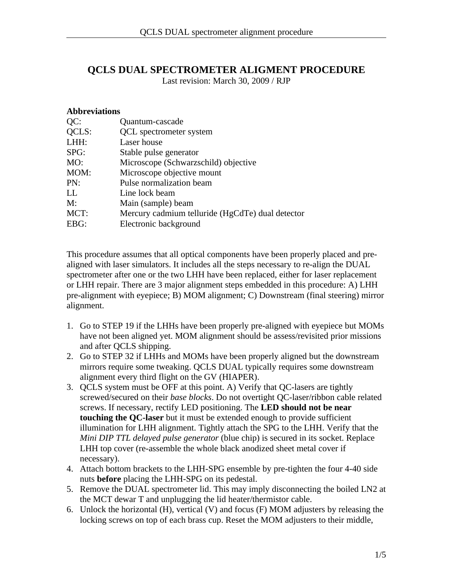## **QCLS DUAL SPECTROMETER ALIGMENT PROCEDURE**

Last revision: March 30, 2009 / RJP

## **Abbreviations**

| QC:   | Quantum-cascade                                  |
|-------|--------------------------------------------------|
| QCLS: | <b>QCL</b> spectrometer system                   |
| LHH:  | Laser house                                      |
| SPG:  | Stable pulse generator                           |
| MO:   | Microscope (Schwarzschild) objective             |
| MOM:  | Microscope objective mount                       |
| PN:   | Pulse normalization beam                         |
| LL    | Line lock beam                                   |
| M:    | Main (sample) beam                               |
| MCT:  | Mercury cadmium telluride (HgCdTe) dual detector |
| EBG:  | Electronic background                            |

This procedure assumes that all optical components have been properly placed and prealigned with laser simulators. It includes all the steps necessary to re-align the DUAL spectrometer after one or the two LHH have been replaced, either for laser replacement or LHH repair. There are 3 major alignment steps embedded in this procedure: A) LHH pre-alignment with eyepiece; B) MOM alignment; C) Downstream (final steering) mirror alignment.

- 1. Go to STEP 19 if the LHHs have been properly pre-aligned with eyepiece but MOMs have not been aligned yet. MOM alignment should be assess/revisited prior missions and after QCLS shipping.
- 2. Go to STEP 32 if LHHs and MOMs have been properly aligned but the downstream mirrors require some tweaking. QCLS DUAL typically requires some downstream alignment every third flight on the GV (HIAPER).
- 3. QCLS system must be OFF at this point. A) Verify that QC-lasers are tightly screwed/secured on their *base blocks*. Do not overtight QC-laser/ribbon cable related screws. If necessary, rectify LED positioning. The **LED should not be near touching the QC-laser** but it must be extended enough to provide sufficient illumination for LHH alignment. Tightly attach the SPG to the LHH. Verify that the *Mini DIP TTL delayed pulse generator* (blue chip) is secured in its socket. Replace LHH top cover (re-assemble the whole black anodized sheet metal cover if necessary).
- 4. Attach bottom brackets to the LHH-SPG ensemble by pre-tighten the four 4-40 side nuts **before** placing the LHH-SPG on its pedestal.
- 5. Remove the DUAL spectrometer lid. This may imply disconnecting the boiled LN2 at the MCT dewar T and unplugging the lid heater/thermistor cable.
- 6. Unlock the horizontal (H), vertical (V) and focus (F) MOM adjusters by releasing the locking screws on top of each brass cup. Reset the MOM adjusters to their middle,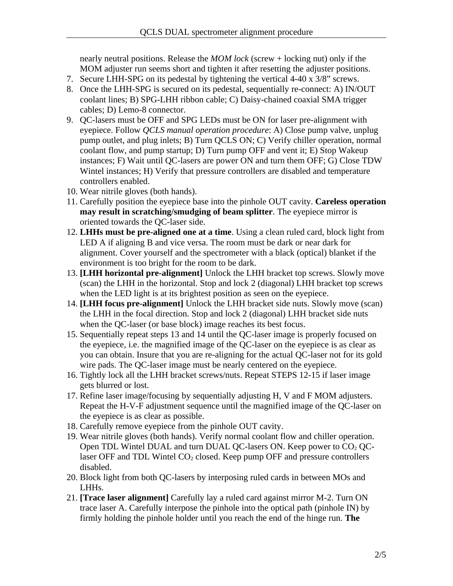nearly neutral positions. Release the *MOM lock* (screw + locking nut) only if the MOM adjuster run seems short and tighten it after resetting the adjuster positions.

- 7. Secure LHH-SPG on its pedestal by tightening the vertical 4-40 x 3/8" screws.
- 8. Once the LHH-SPG is secured on its pedestal, sequentially re-connect: A) IN/OUT coolant lines; B) SPG-LHH ribbon cable; C) Daisy-chained coaxial SMA trigger cables; D) Lemo-8 connector.
- 9. QC-lasers must be OFF and SPG LEDs must be ON for laser pre-alignment with eyepiece. Follow *QCLS manual operation procedure*: A) Close pump valve, unplug pump outlet, and plug inlets; B) Turn QCLS ON; C) Verify chiller operation, normal coolant flow, and pump startup; D) Turn pump OFF and vent it; E) Stop Wakeup instances; F) Wait until QC-lasers are power ON and turn them OFF; G) Close TDW Wintel instances; H) Verify that pressure controllers are disabled and temperature controllers enabled.
- 10. Wear nitrile gloves (both hands).
- 11. Carefully position the eyepiece base into the pinhole OUT cavity. **Careless operation may result in scratching/smudging of beam splitter**. The eyepiece mirror is oriented towards the QC-laser side.
- 12. **LHHs must be pre-aligned one at a time**. Using a clean ruled card, block light from LED A if aligning B and vice versa. The room must be dark or near dark for alignment. Cover yourself and the spectrometer with a black (optical) blanket if the environment is too bright for the room to be dark.
- 13. **[LHH horizontal pre-alignment]** Unlock the LHH bracket top screws. Slowly move (scan) the LHH in the horizontal. Stop and lock 2 (diagonal) LHH bracket top screws when the LED light is at its brightest position as seen on the eyepiece.
- 14. **[LHH focus pre-alignment]** Unlock the LHH bracket side nuts. Slowly move (scan) the LHH in the focal direction. Stop and lock 2 (diagonal) LHH bracket side nuts when the QC-laser (or base block) image reaches its best focus.
- 15. Sequentially repeat steps 13 and 14 until the QC-laser image is properly focused on the eyepiece, i.e. the magnified image of the QC-laser on the eyepiece is as clear as you can obtain. Insure that you are re-aligning for the actual QC-laser not for its gold wire pads. The QC-laser image must be nearly centered on the eyepiece.
- 16. Tightly lock all the LHH bracket screws/nuts. Repeat STEPS 12-15 if laser image gets blurred or lost.
- 17. Refine laser image/focusing by sequentially adjusting H, V and F MOM adjusters. Repeat the H-V-F adjustment sequence until the magnified image of the QC-laser on the eyepiece is as clear as possible.
- 18. Carefully remove eyepiece from the pinhole OUT cavity.
- 19. Wear nitrile gloves (both hands). Verify normal coolant flow and chiller operation. Open TDL Wintel DUAL and turn DUAL QC-lasers ON. Keep power to  $CO<sub>2</sub>$  QClaser OFF and TDL Wintel  $CO<sub>2</sub>$  closed. Keep pump OFF and pressure controllers disabled.
- 20. Block light from both QC-lasers by interposing ruled cards in between MOs and LHHs.
- 21. **[Trace laser alignment]** Carefully lay a ruled card against mirror M-2. Turn ON trace laser A. Carefully interpose the pinhole into the optical path (pinhole IN) by firmly holding the pinhole holder until you reach the end of the hinge run. **The**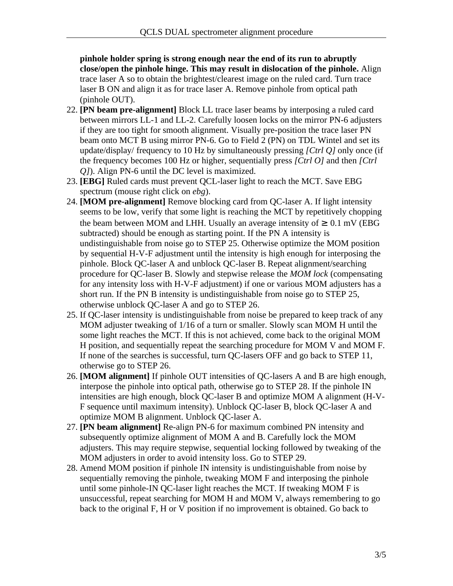**pinhole holder spring is strong enough near the end of its run to abruptly close/open the pinhole hinge. This may result in dislocation of the pinhole.** Align trace laser A so to obtain the brightest/clearest image on the ruled card. Turn trace laser B ON and align it as for trace laser A. Remove pinhole from optical path (pinhole OUT).

- 22. **[PN beam pre-alignment]** Block LL trace laser beams by interposing a ruled card between mirrors LL-1 and LL-2. Carefully loosen locks on the mirror PN-6 adjusters if they are too tight for smooth alignment. Visually pre-position the trace laser PN beam onto MCT B using mirror PN-6. Go to Field 2 (PN) on TDL Wintel and set its update/display/ frequency to 10 Hz by simultaneously pressing *[Ctrl Q]* only once (if the frequency becomes 100 Hz or higher, sequentially press *[Ctrl O]* and then *[Ctrl Q]*). Align PN-6 until the DC level is maximized.
- 23. **[EBG]** Ruled cards must prevent QCL-laser light to reach the MCT. Save EBG spectrum (mouse right click on *ebg*).
- 24. **[MOM pre-alignment]** Remove blocking card from QC-laser A. If light intensity seems to be low, verify that some light is reaching the MCT by repetitively chopping the beam between MOM and LHH. Usually an average intensity of  $\geq 0.1$  mV (EBG subtracted) should be enough as starting point. If the PN A intensity is undistinguishable from noise go to STEP 25. Otherwise optimize the MOM position by sequential H-V-F adjustment until the intensity is high enough for interposing the pinhole. Block QC-laser A and unblock QC-laser B. Repeat alignment/searching procedure for QC-laser B. Slowly and stepwise release the *MOM lock* (compensating for any intensity loss with H-V-F adjustment) if one or various MOM adjusters has a short run. If the PN B intensity is undistinguishable from noise go to STEP 25, otherwise unblock QC-laser A and go to STEP 26.
- 25. If QC-laser intensity is undistinguishable from noise be prepared to keep track of any MOM adjuster tweaking of 1/16 of a turn or smaller. Slowly scan MOM H until the some light reaches the MCT. If this is not achieved, come back to the original MOM H position, and sequentially repeat the searching procedure for MOM V and MOM F. If none of the searches is successful, turn QC-lasers OFF and go back to STEP 11, otherwise go to STEP 26.
- 26. **[MOM alignment]** If pinhole OUT intensities of QC-lasers A and B are high enough, interpose the pinhole into optical path, otherwise go to STEP 28. If the pinhole IN intensities are high enough, block QC-laser B and optimize MOM A alignment (H-V-F sequence until maximum intensity). Unblock QC-laser B, block QC-laser A and optimize MOM B alignment. Unblock QC-laser A.
- 27. **[PN beam alignment]** Re-align PN-6 for maximum combined PN intensity and subsequently optimize alignment of MOM A and B. Carefully lock the MOM adjusters. This may require stepwise, sequential locking followed by tweaking of the MOM adjusters in order to avoid intensity loss. Go to STEP 29.
- 28. Amend MOM position if pinhole IN intensity is undistinguishable from noise by sequentially removing the pinhole, tweaking MOM F and interposing the pinhole until some pinhole-IN QC-laser light reaches the MCT. If tweaking MOM F is unsuccessful, repeat searching for MOM H and MOM V, always remembering to go back to the original F, H or V position if no improvement is obtained. Go back to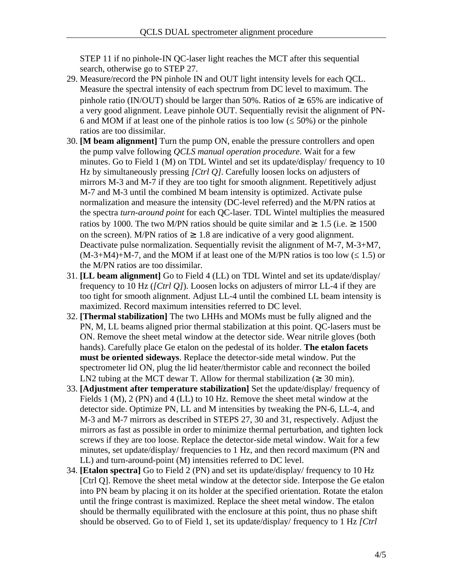STEP 11 if no pinhole-IN QC-laser light reaches the MCT after this sequential search, otherwise go to STEP 27.

- 29. Measure/record the PN pinhole IN and OUT light intensity levels for each QCL. Measure the spectral intensity of each spectrum from DC level to maximum. The pinhole ratio (IN/OUT) should be larger than 50%. Ratios of  $\geq 65\%$  are indicative of a very good alignment. Leave pinhole OUT. Sequentially revisit the alignment of PN-6 and MOM if at least one of the pinhole ratios is too low ( $\leq$  50%) or the pinhole ratios are too dissimilar.
- 30. **[M beam alignment]** Turn the pump ON, enable the pressure controllers and open the pump valve following *QCLS manual operation procedure*. Wait for a few minutes. Go to Field 1 (M) on TDL Wintel and set its update/display/ frequency to 10 Hz by simultaneously pressing *[Ctrl Q]*. Carefully loosen locks on adjusters of mirrors M-3 and M-7 if they are too tight for smooth alignment. Repetitively adjust M-7 and M-3 until the combined M beam intensity is optimized. Activate pulse normalization and measure the intensity (DC-level referred) and the M/PN ratios at the spectra *turn-around point* for each QC-laser. TDL Wintel multiplies the measured ratios by 1000. The two M/PN ratios should be quite similar and  $\geq 1.5$  (i.e.  $\geq 1500$ on the screen). M/PN ratios of  $\geq 1.8$  are indicative of a very good alignment. Deactivate pulse normalization. Sequentially revisit the alignment of M-7, M-3+M7,  $(M-3+M4)+M-7$ , and the MOM if at least one of the M/PN ratios is too low ( $\leq 1.5$ ) or the M/PN ratios are too dissimilar.
- 31. **[LL beam alignment]** Go to Field 4 (LL) on TDL Wintel and set its update/display/ frequency to 10 Hz (*[Ctrl Q]*). Loosen locks on adjusters of mirror LL-4 if they are too tight for smooth alignment. Adjust LL-4 until the combined LL beam intensity is maximized. Record maximum intensities referred to DC level.
- 32. **[Thermal stabilization]** The two LHHs and MOMs must be fully aligned and the PN, M, LL beams aligned prior thermal stabilization at this point. QC-lasers must be ON. Remove the sheet metal window at the detector side. Wear nitrile gloves (both hands). Carefully place Ge etalon on the pedestal of its holder. **The etalon facets must be oriented sideways**. Replace the detector-side metal window. Put the spectrometer lid ON, plug the lid heater/thermistor cable and reconnect the boiled LN2 tubing at the MCT dewar T. Allow for thermal stabilization ( $\geq 30$  min).
- 33. **[Adjustment after temperature stabilization]** Set the update/display/ frequency of Fields 1 (M), 2 (PN) and 4 (LL) to 10 Hz. Remove the sheet metal window at the detector side. Optimize PN, LL and M intensities by tweaking the PN-6, LL-4, and M-3 and M-7 mirrors as described in STEPS 27, 30 and 31, respectively. Adjust the mirrors as fast as possible in order to minimize thermal perturbation, and tighten lock screws if they are too loose. Replace the detector-side metal window. Wait for a few minutes, set update/display/ frequencies to 1 Hz, and then record maximum (PN and LL) and turn-around-point (M) intensities referred to DC level.
- 34. **[Etalon spectra]** Go to Field 2 (PN) and set its update/display/ frequency to 10 Hz [Ctrl Q]. Remove the sheet metal window at the detector side. Interpose the Ge etalon into PN beam by placing it on its holder at the specified orientation. Rotate the etalon until the fringe contrast is maximized. Replace the sheet metal window. The etalon should be thermally equilibrated with the enclosure at this point, thus no phase shift should be observed. Go to of Field 1, set its update/display/ frequency to 1 Hz *[Ctrl*